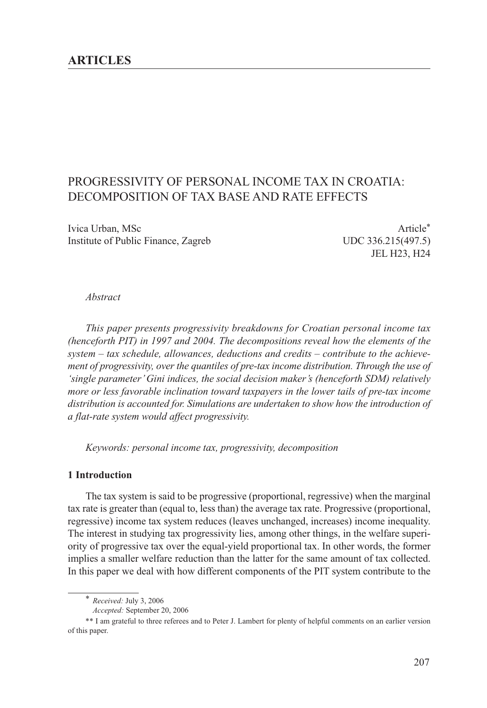# PROGRESSIVITY OF PERSONAL INCOME TAX IN CROATIA: DECOMPOSITION OF TAX BASE AND RATE EFFECTS

Ivica Urban, MSc **Article**\* Institute of Public Finance, Zagreb UDC 336.215(497.5)

JEL H23, H24

#### *Abstract*

*This paper presents progressivity breakdowns for Croatian personal income tax (henceforth PIT) in 1997 and 2004. The decompositions reveal how the elements of the system – tax schedule, allowances, deductions and credits – contribute to the achievement of progressivity, over the quantiles of pre-tax income distribution. Through the use of 'single parameter' Gini indices, the social decision maker's (henceforth SDM) relatively more or less favorable inclination toward taxpayers in the lower tails of pre-tax income distribution is accounted for. Simulations are undertaken to show how the introduction of a flat-rate system would affect progressivity.*

*Keywords: personal income tax, progressivity, decomposition*

# **1 Introduction**

The tax system is said to be progressive (proportional, regressive) when the marginal tax rate is greater than (equal to, less than) the average tax rate. Progressive (proportional, regressive) income tax system reduces (leaves unchanged, increases) income inequality. The interest in studying tax progressivity lies, among other things, in the welfare superiority of progressive tax over the equal-yield proportional tax. In other words, the former implies a smaller welfare reduction than the latter for the same amount of tax collected. In this paper we deal with how different components of the PIT system contribute to the

<sup>\*</sup> *Received:* July 3, 2006

*Accepted:* September 20, 2006

<sup>\*\*</sup> I am grateful to three referees and to Peter J. Lambert for plenty of helpful comments on an earlier version of this paper.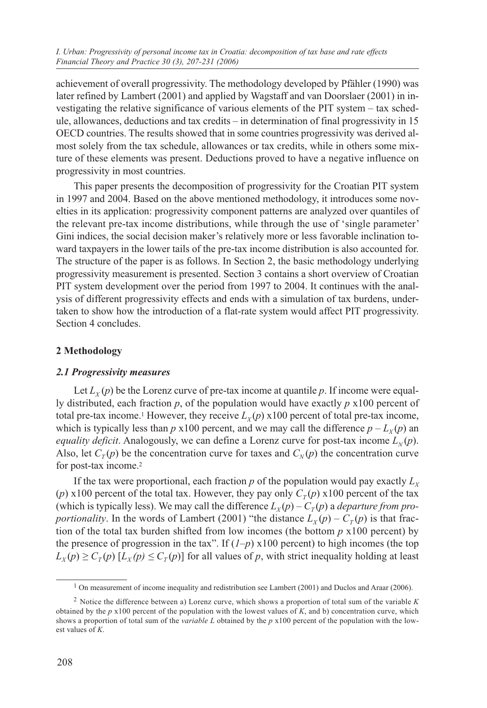achievement of overall progressivity. The methodology developed by Pfähler (1990) was later refined by Lambert (2001) and applied by Wagstaff and van Doorslaer (2001) in investigating the relative significance of various elements of the PIT system – tax schedule, allowances, deductions and tax credits – in determination of final progressivity in 15 OECD countries. The results showed that in some countries progressivity was derived almost solely from the tax schedule, allowances or tax credits, while in others some mixture of these elements was present. Deductions proved to have a negative influence on progressivity in most countries.

This paper presents the decomposition of progressivity for the Croatian PIT system in 1997 and 2004. Based on the above mentioned methodology, it introduces some novelties in its application: progressivity component patterns are analyzed over quantiles of the relevant pre-tax income distributions, while through the use of 'single parameter' Gini indices, the social decision maker's relatively more or less favorable inclination toward taxpayers in the lower tails of the pre-tax income distribution is also accounted for. The structure of the paper is as follows. In Section 2, the basic methodology underlying progressivity measurement is presented. Section 3 contains a short overview of Croatian PIT system development over the period from 1997 to 2004. It continues with the analysis of different progressivity effects and ends with a simulation of tax burdens, undertaken to show how the introduction of a flat-rate system would affect PIT progressivity. Section 4 concludes.

# **2 Methodology**

# *2.1 Progressivity measures*

Let  $L_Y(p)$  be the Lorenz curve of pre-tax income at quantile p. If income were equally distributed, each fraction *p*, of the population would have exactly *p* x100 percent of total pre-tax income.<sup>1</sup> However, they receive  $L<sub>v</sub>(p)$  x100 percent of total pre-tax income, which is typically less than *p*  $\times$ 100 percent, and we may call the difference  $p - L<sub>v</sub>(p)$  and *equality deficit*. Analogously, we can define a Lorenz curve for post-tax income  $L_N(p)$ . Also, let  $C_T(p)$  be the concentration curve for taxes and  $C_N(p)$  the concentration curve for post-tax income.2

If the tax were proportional, each fraction  $p$  of the population would pay exactly  $L<sub>x</sub>$ (*p*) x100 percent of the total tax. However, they pay only  $C_T(p)$  x100 percent of the tax (which is typically less). We may call the difference  $L_X(p) - C_T(p)$  a *departure from proportionality*. In the words of Lambert (2001) "the distance  $L_X(p) - C_T(p)$  is that fraction of the total tax burden shifted from low incomes (the bottom  $p \times 100$  percent) by the presence of progression in the tax". If  $(1-p)$  x100 percent) to high incomes (the top  $L_X(p) \geq C_T(p)$  [ $L_X(p) \leq C_T(p)$ ] for all values of *p*, with strict inequality holding at least

<sup>&</sup>lt;sup>1</sup> On measurement of income inequality and redistribution see Lambert (2001) and Duclos and Araar (2006).

<sup>2</sup> Notice the difference between a) Lorenz curve, which shows a proportion of total sum of the variable *K* obtained by the *p* x100 percent of the population with the lowest values of *K*, and b) concentration curve, which shows a proportion of total sum of the *variable L* obtained by the *p* x100 percent of the population with the lowest values of *K*.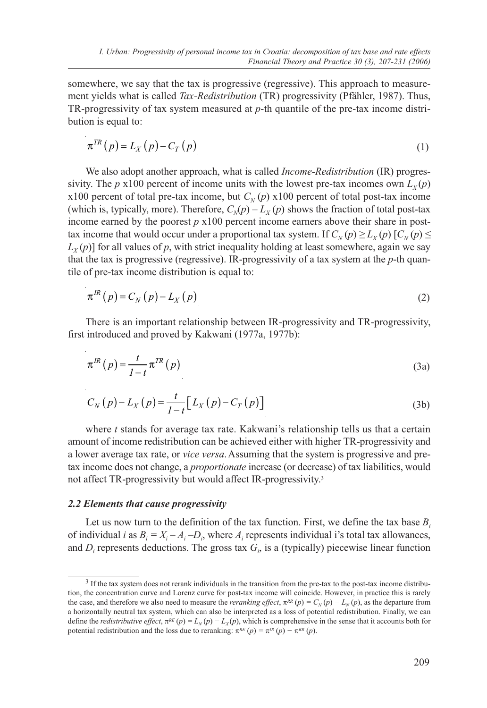somewhere, we say that the tax is progressive (regressive). This approach to measurement yields what is called *Tax-Redistribution* (TR) progressivity (Pfähler, 1987). Thus, TR-progressivity of tax system measured at *p*-th quantile of the pre-tax income distribution is equal to:

$$
\pi^{TR}(p) = L_X(p) - C_T(p) \tag{1}
$$

We also adopt another approach, what is called *Income-Redistribution* (IR) progressivity. The *p* x100 percent of income units with the lowest pre-tax incomes own  $L_y(p)$ x100 percent of total pre-tax income, but  $C_N(p)$  x100 percent of total post-tax income (which is, typically, more). Therefore,  $C_{N}(p) - L_{N}(p)$  shows the fraction of total post-tax income earned by the poorest *p* x100 percent income earners above their share in posttax income that would occur under a proportional tax system. If  $C_N(p) \ge L_Y(p)$  [ $C_N(p) \le$  $L_Y(p)$ ] for all values of p, with strict inequality holding at least somewhere, again we say that the tax is progressive (regressive). IR-progressivity of a tax system at the *p*-th quantile of pre-tax income distribution is equal to:

$$
\pi^{IR}(p) = C_N(p) - L_X(p) \tag{2}
$$

There is an important relationship between IR-progressivity and TR-progressivity, first introduced and proved by Kakwani (1977a, 1977b):

$$
\pi^{IR}(p) = \frac{t}{1-t} \pi^{TR}(p)
$$
\n(3a)

$$
C_N(p) - L_X(p) = \frac{t}{1-t} \Big[ L_X(p) - C_T(p) \Big] \tag{3b}
$$

where *t* stands for average tax rate. Kakwani's relationship tells us that a certain amount of income redistribution can be achieved either with higher TR-progressivity and a lower average tax rate, or *vice versa*.Assuming that the system is progressive and pretax income does not change, a *proportionate* increase (or decrease) of tax liabilities, would not affect TR-progressivity but would affect IR-progressivity.3

### *2.2 Elements that cause progressivity*

Let us now turn to the definition of the tax function. First, we define the tax base  $B_i$ of individual *i* as  $B_i = X_i - A_i - D_i$ , where  $A_i$  represents individual *i*'s total tax allowances, and  $D_i$  represents deductions. The gross tax  $G_i$ , is a (typically) piecewise linear function

<sup>3</sup> If the tax system does not rerank individuals in the transition from the pre-tax to the post-tax income distribution, the concentration curve and Lorenz curve for post-tax income will coincide. However, in practice this is rarely the case, and therefore we also need to measure the *reranking effect*,  $\pi^{RR}(p) = C_N(p) - L_N(p)$ , as the departure from a horizontally neutral tax system, which can also be interpreted as a loss of potential redistribution. Finally, we can define the *redistributive effect*,  $\pi^{RE}(p) = L_N(p) - L_X(p)$ , which is comprehensive in the sense that it accounts both for potential redistribution and the loss due to reranking:  $\pi^{RE}(p) = \pi^{IR}(p) - \pi^{RR}(p)$ .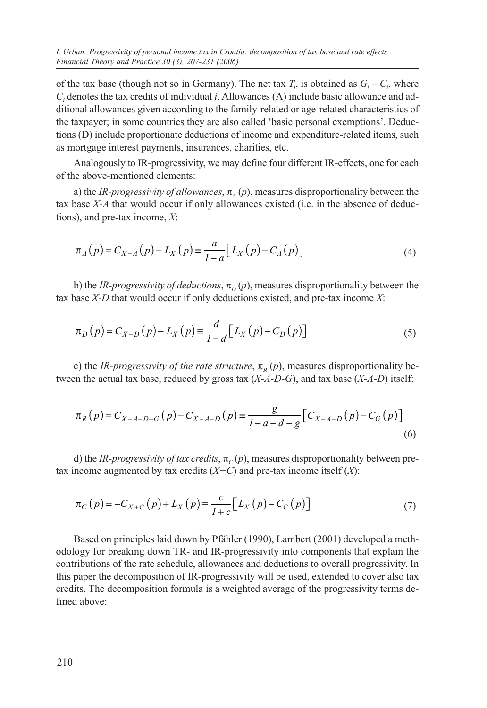of the tax base (though not so in Germany). The net tax  $T_i$ , is obtained as  $G_i - C_i$ , where *Ci* denotes the tax credits of individual *i*. Allowances (A) include basic allowance and additional allowances given according to the family-related or age-related characteristics of the taxpayer; in some countries they are also called 'basic personal exemptions'. Deductions (D) include proportionate deductions of income and expenditure-related items, such as mortgage interest payments, insurances, charities, etc.

Analogously to IR-progressivity, we may define four different IR-effects, one for each of the above-mentioned elements:

a) the *IR-progressivity of allowances*,  $\pi$ <sub>4</sub> (*p*), measures disproportionality between the tax base *X-A* that would occur if only allowances existed (i.e. in the absence of deductions), and pre-tax income, *X*:

$$
\pi_A(p) = C_{X-A}(p) - L_X(p) = \frac{a}{1-a} \Big[ L_X(p) - C_A(p) \Big] \tag{4}
$$

b) the *IR-progressivity of deductions*,  $\pi$ <sub>*p</sub>*(*p*), measures disproportionality between the</sub> tax base *X-D* that would occur if only deductions existed, and pre-tax income *X*:

$$
\pi_{D}(p) = C_{X-D}(p) - L_{X}(p) = \frac{d}{1-d} [L_{X}(p) - C_{D}(p)]
$$
\n(5)

c) the *IR-progressivity of the rate structure*,  $\pi$ <sub>*R*</sub> (*p*), measures disproportionality between the actual tax base, reduced by gross tax (*X-A-D-G*), and tax base (*X-A-D*) itself:

$$
\pi_R(p) = C_{X-A-D-G}(p) - C_{X-A-D}(p) \equiv \frac{g}{1-a-d-g} \Big[ C_{X-A-D}(p) - C_G(p) \Big] \tag{6}
$$

d) the *IR-progressivity of tax credits*,  $\pi_c(p)$ , measures disproportionality between pretax income augmented by tax credits  $(X+C)$  and pre-tax income itself  $(X)$ :

$$
\pi_C(p) = -C_{X+C}(p) + L_X(p) \equiv \frac{c}{1+c} \Big[ L_X(p) - C_C(p) \Big]
$$
\n(7)

Based on principles laid down by Pfähler (1990), Lambert (2001) developed a methodology for breaking down TR- and IR-progressivity into components that explain the contributions of the rate schedule, allowances and deductions to overall progressivity. In this paper the decomposition of IR-progressivity will be used, extended to cover also tax credits. The decomposition formula is a weighted average of the progressivity terms defined above: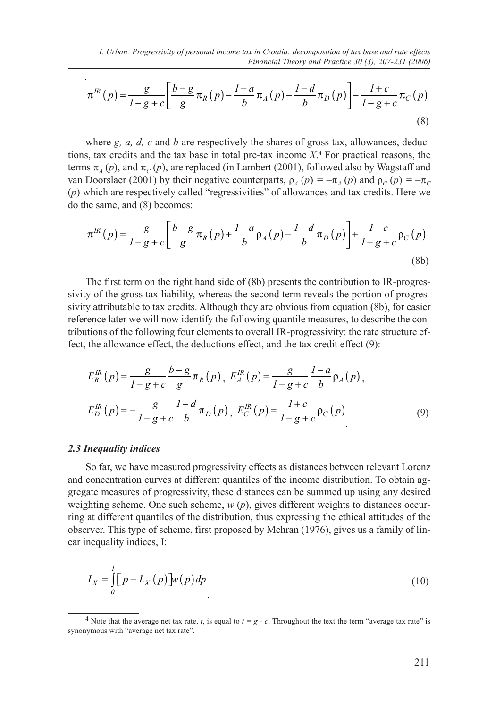$$
\pi^{IR}(p) = \frac{g}{1 - g + c} \left[ \frac{b - g}{g} \pi_R(p) - \frac{1 - a}{b} \pi_A(p) - \frac{1 - d}{b} \pi_D(p) \right] - \frac{1 + c}{1 - g + c} \pi_C(p)
$$
\n(8)

where *g, a, d, c* and *b* are respectively the shares of gross tax, allowances, deductions, tax credits and the tax base in total pre-tax income *X*.4 For practical reasons, the terms  $\pi_A(p)$ , and  $\pi_C(p)$ , are replaced (in Lambert (2001), followed also by Wagstaff and van Doorslaer (2001) by their negative counterparts,  $\rho_A(p) = -\pi_A(p)$  and  $\rho_C(p) = -\pi_C(p)$ (*p*) which are respectively called "regressivities" of allowances and tax credits. Here we do the same, and (8) becomes:

$$
\pi^{IR}(p) = \frac{g}{1-g+c} \left[ \frac{b-g}{g} \pi_R(p) + \frac{1-a}{b} \rho_A(p) - \frac{1-d}{b} \pi_D(p) \right] + \frac{1+c}{1-g+c} \rho_C(p)
$$
\n(8b)

The first term on the right hand side of (8b) presents the contribution to IR-progressivity of the gross tax liability, whereas the second term reveals the portion of progressivity attributable to tax credits. Although they are obvious from equation (8b), for easier reference later we will now identify the following quantile measures, to describe the contributions of the following four elements to overall IR-progressivity: the rate structure effect, the allowance effect, the deductions effect, and the tax credit effect (9):

$$
E_R^R(p) = \frac{g}{1 - g + c} \frac{b - g}{g} \pi_R(p), \ E_A^R(p) = \frac{g}{1 - g + c} \frac{1 - a}{b} \rho_A(p),
$$
  

$$
E_D^R(p) = -\frac{g}{1 - g + c} \frac{1 - d}{b} \pi_D(p), \ E_C^R(p) = \frac{1 + c}{1 - g + c} \rho_C(p)
$$
 (9)

#### *2.3 Inequality indices*

So far, we have measured progressivity effects as distances between relevant Lorenz and concentration curves at different quantiles of the income distribution. To obtain aggregate measures of progressivity, these distances can be summed up using any desired weighting scheme. One such scheme, *w* (*p*), gives different weights to distances occurring at different quantiles of the distribution, thus expressing the ethical attitudes of the observer. This type of scheme, first proposed by Mehran (1976), gives us a family of linear inequality indices, I:

$$
I_X = \int_0^1 \left[ p - L_X(p) \right] w(p) \, dp \tag{10}
$$

<sup>&</sup>lt;sup>4</sup> Note that the average net tax rate, *t*, is equal to  $t = g - c$ . Throughout the text the term "average tax rate" is synonymous with "average net tax rate".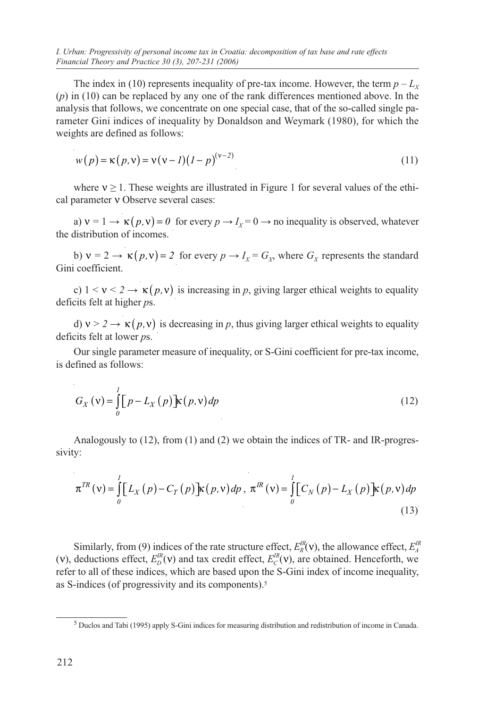*I. Urban: Progressivity of personal income tax in Croatia: decomposition of tax base and rate effects Financial Theory and Practice 30 (3), 207-231 (2006)*

The index in (10) represents inequality of pre-tax income. However, the term  $p - L_X$ (*p*) in (10) can be replaced by any one of the rank differences mentioned above. In the analysis that follows, we concentrate on one special case, that of the so-called single parameter Gini indices of inequality by Donaldson and Weymark (1980), for which the weights are defined as follows:

$$
w(p) = \kappa(p, v) = v(v - 1)(1 - p)^{(v - 2)}
$$
\n(11)

where  $v \ge 1$ . These weights are illustrated in Figure 1 for several values of the ethical parameter ν Observe several cases:

a)  $v = 1 \rightarrow \kappa(p, v) = 0$  for every  $p \rightarrow I_x = 0 \rightarrow$  no inequality is observed, whatever the distribution of incomes.

b)  $v = 2 \rightarrow \kappa(p, v) = 2$  for every  $p \rightarrow I_x = G_x$ , where  $G_x$  represents the standard Gini coefficient.

c)  $1 < v < 2 \rightarrow \kappa(p, v)$  is increasing in p, giving larger ethical weights to equality deficits felt at higher *p*s.

d)  $v > 2 \rightarrow \kappa(p, v)$  is decreasing in p, thus giving larger ethical weights to equality deficits felt at lower *p*s.

Our single parameter measure of inequality, or S-Gini coefficient for pre-tax income, is defined as follows:

$$
G_X(\mathbf{v}) = \int_0^1 \left[ p - L_X(p) \right] \mathbf{k}(p, \mathbf{v}) dp \tag{12}
$$

Analogously to (12), from (1) and (2) we obtain the indices of TR- and IR-progressivity:

$$
\pi^{TR}(v) = \int_{0}^{1} [L_{X}(p) - C_{T}(p)] \kappa(p, v) dp, \ \pi^{IR}(v) = \int_{0}^{1} [C_{N}(p) - L_{X}(p)] \kappa(p, v) dp
$$
\n(13)

Similarly, from (9) indices of the rate structure effect,  $E_R^{IR}(\mathbf{v})$ , the allowance effect,  $E_A^{IR}$ (v), deductions effect,  $E_D^{\prime R}(v)$  and tax credit effect,  $E_C^{\prime R}(v)$ , are obtained. Henceforth, we refer to all of these indices, which are based upon the S-Gini index of income inequality, as S-indices (of progressivity and its components).5

<sup>5</sup> Duclos and Tabi (1995) apply S-Gini indices for measuring distribution and redistribution of income in Canada.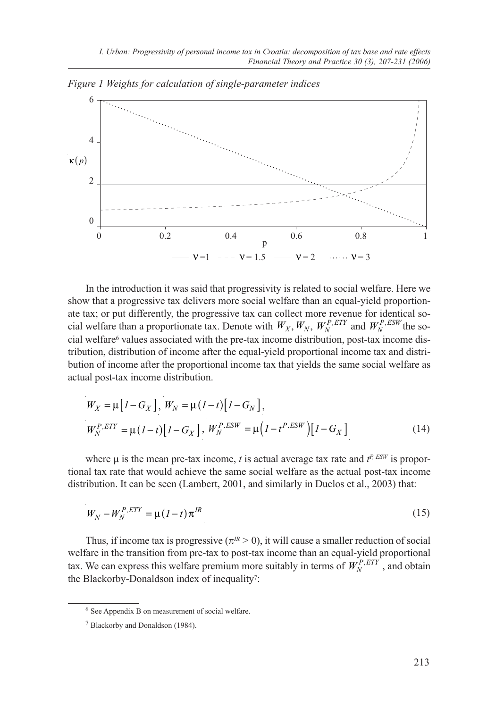

*Figure 1 Weights for calculation of single-parameter indices*

In the introduction it was said that progressivity is related to social welfare. Here we show that a progressive tax delivers more social welfare than an equal-yield proportionate tax; or put differently, the progressive tax can collect more revenue for identical social welfare than a proportionate tax. Denote with  $W_X$ ,  $W_N$ ,  $W_N^{P,ETY}$  and  $W_N^{P,ESW}$  the social welfare $6$  values associated with the pre-tax income distribution, post-tax income distribution, distribution of income after the equal-yield proportional income tax and distribution of income after the proportional income tax that yields the same social welfare as actual post-tax income distribution.

$$
W_X = \mu \left[ I - G_X \right], W_N = \mu (1 - t) \left[ I - G_N \right],
$$
  
\n
$$
W_N^{P, ETY} = \mu (1 - t) \left[ I - G_X \right], W_N^{P, ESW} = \mu \left( I - t^{P, ESW} \right) \left[ I - G_X \right]
$$
\n(14)

where  $\mu$  is the mean pre-tax income, *t* is actual average tax rate and  $t^{P, \text{ESW}}$  is proportional tax rate that would achieve the same social welfare as the actual post-tax income distribution. It can be seen (Lambert, 2001, and similarly in Duclos et al., 2003) that:

$$
W_N - W_N^{P,ETY} = \mu (I - t) \pi^{IR}
$$
\n<sup>(15)</sup>

Thus, if income tax is progressive  $(\pi^{IR} > 0)$ , it will cause a smaller reduction of social welfare in the transition from pre-tax to post-tax income than an equal-yield proportional tax. We can express this welfare premium more suitably in terms of  $W_N^{P, ETY}$ , and obtain the Blackorby-Donaldson index of inequality?:

<sup>6</sup> See Appendix B on measurement of social welfare.

<sup>7</sup> Blackorby and Donaldson (1984).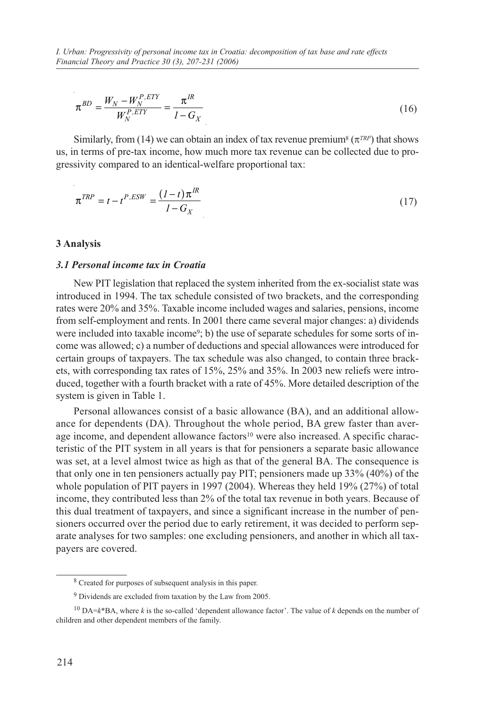$$
\pi^{BD} = \frac{W_N - W_N^{P, ETY}}{W_N^{P, ETY}} = \frac{\pi^{IR}}{I - G_X}
$$
\n(16)

Similarly, from (14) we can obtain an index of tax revenue premium<sup>8</sup> ( $\pi^{TRP}$ ) that shows us, in terms of pre-tax income, how much more tax revenue can be collected due to progressivity compared to an identical-welfare proportional tax:

$$
\boldsymbol{\pi}^{TRP} = t - t^{P,ESW} = \frac{(1-t)\boldsymbol{\pi}^{IR}}{1 - G_X} \tag{17}
$$

### **3 Analysis**

# *3.1 Personal income tax in Croatia*

New PIT legislation that replaced the system inherited from the ex-socialist state was introduced in 1994. The tax schedule consisted of two brackets, and the corresponding rates were 20% and 35%. Taxable income included wages and salaries, pensions, income from self-employment and rents. In 2001 there came several major changes: a) dividends were included into taxable income9; b) the use of separate schedules for some sorts of income was allowed; c) a number of deductions and special allowances were introduced for certain groups of taxpayers. The tax schedule was also changed, to contain three brackets, with corresponding tax rates of 15%, 25% and 35%. In 2003 new reliefs were introduced, together with a fourth bracket with a rate of 45%. More detailed description of the system is given in Table 1.

Personal allowances consist of a basic allowance (BA), and an additional allowance for dependents (DA). Throughout the whole period, BA grew faster than average income, and dependent allowance factors<sup>10</sup> were also increased. A specific characteristic of the PIT system in all years is that for pensioners a separate basic allowance was set, at a level almost twice as high as that of the general BA. The consequence is that only one in ten pensioners actually pay PIT; pensioners made up 33% (40%) of the whole population of PIT payers in 1997 (2004). Whereas they held 19% (27%) of total income, they contributed less than 2% of the total tax revenue in both years. Because of this dual treatment of taxpayers, and since a significant increase in the number of pensioners occurred over the period due to early retirement, it was decided to perform separate analyses for two samples: one excluding pensioners, and another in which all taxpayers are covered.

<sup>8</sup> Created for purposes of subsequent analysis in this paper.

<sup>9</sup> Dividends are excluded from taxation by the Law from 2005.

<sup>10</sup> DA=*k*\*BA, where *k* is the so-called 'dependent allowance factor'. The value of *k* depends on the number of children and other dependent members of the family.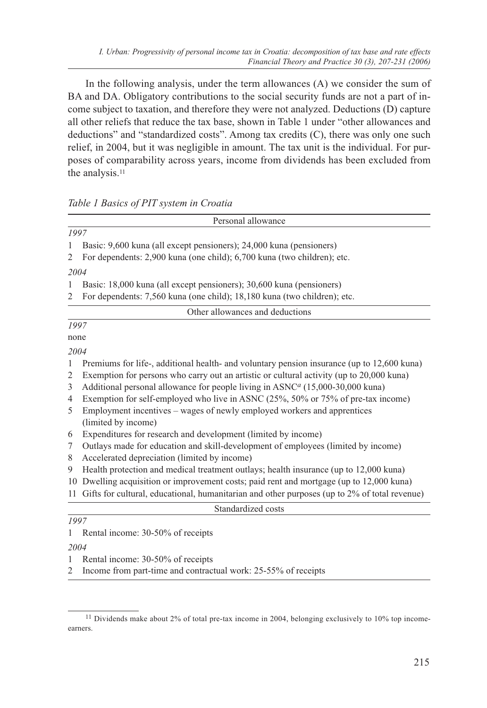In the following analysis, under the term allowances (A) we consider the sum of BA and DA. Obligatory contributions to the social security funds are not a part of income subject to taxation, and therefore they were not analyzed. Deductions (D) capture all other reliefs that reduce the tax base, shown in Table 1 under "other allowances and deductions" and "standardized costs". Among tax credits (C), there was only one such relief, in 2004, but it was negligible in amount. The tax unit is the individual. For purposes of comparability across years, income from dividends has been excluded from the analysis.11

# *Table 1 Basics of PIT system in Croatia*

| Personal allowance                                                                                         |  |  |  |  |  |  |
|------------------------------------------------------------------------------------------------------------|--|--|--|--|--|--|
| 1997                                                                                                       |  |  |  |  |  |  |
| Basic: 9,600 kuna (all except pensioners); 24,000 kuna (pensioners)<br>$\mathbf{1}$                        |  |  |  |  |  |  |
| For dependents: 2,900 kuna (one child); 6,700 kuna (two children); etc.<br>$\overline{2}$                  |  |  |  |  |  |  |
| 2004                                                                                                       |  |  |  |  |  |  |
| $\mathbf{1}$<br>Basic: 18,000 kuna (all except pensioners); 30,600 kuna (pensioners)                       |  |  |  |  |  |  |
| For dependents: 7,560 kuna (one child); 18,180 kuna (two children); etc.<br>$\overline{c}$                 |  |  |  |  |  |  |
| Other allowances and deductions                                                                            |  |  |  |  |  |  |
| 1997                                                                                                       |  |  |  |  |  |  |
| none                                                                                                       |  |  |  |  |  |  |
| 2004                                                                                                       |  |  |  |  |  |  |
| Premiums for life-, additional health- and voluntary pension insurance (up to 12,600 kuna)<br>$\mathbf{1}$ |  |  |  |  |  |  |
| Exemption for persons who carry out an artistic or cultural activity (up to 20,000 kuna)<br>2              |  |  |  |  |  |  |
| Additional personal allowance for people living in ASNC <sup>a</sup> (15,000-30,000 kuna)<br>3             |  |  |  |  |  |  |
| Exemption for self-employed who live in ASNC (25%, 50% or 75% of pre-tax income)<br>4                      |  |  |  |  |  |  |
| Employment incentives – wages of newly employed workers and apprentices<br>5                               |  |  |  |  |  |  |
| (limited by income)                                                                                        |  |  |  |  |  |  |
| Expenditures for research and development (limited by income)<br>6                                         |  |  |  |  |  |  |
| Outlays made for education and skill-development of employees (limited by income)<br>7                     |  |  |  |  |  |  |
| Accelerated depreciation (limited by income)<br>8                                                          |  |  |  |  |  |  |
| Health protection and medical treatment outlays; health insurance (up to 12,000 kuna)<br>9                 |  |  |  |  |  |  |
| Dwelling acquisition or improvement costs; paid rent and mortgage (up to 12,000 kuna)<br>10                |  |  |  |  |  |  |
| Gifts for cultural, educational, humanitarian and other purposes (up to 2% of total revenue)<br>11         |  |  |  |  |  |  |
| Standardized costs                                                                                         |  |  |  |  |  |  |
| 1997                                                                                                       |  |  |  |  |  |  |
| Rental income: 30-50% of receipts<br>1                                                                     |  |  |  |  |  |  |
| 2004                                                                                                       |  |  |  |  |  |  |

1 Rental income: 30-50% of receipts

2 Income from part-time and contractual work: 25-55% of receipts

<sup>&</sup>lt;sup>11</sup> Dividends make about 2% of total pre-tax income in 2004, belonging exclusively to 10% top incomeearners.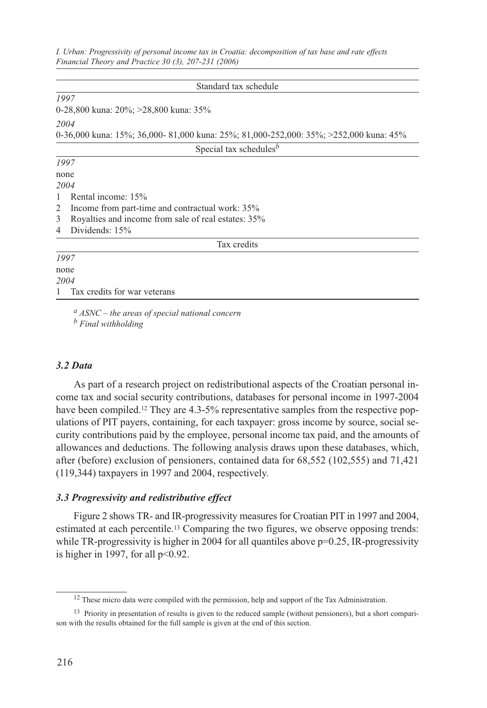*I. Urban: Progressivity of personal income tax in Croatia: decomposition of tax base and rate effects Financial Theory and Practice 30 (3), 207-231 (2006)*

|   | Standard tax schedule                                                                |
|---|--------------------------------------------------------------------------------------|
|   | 1997                                                                                 |
|   | 0-28,800 kuna: $20\%$ ; $>28,800$ kuna: 35%                                          |
|   | 2004                                                                                 |
|   | 0-36,000 kuna: 15%; 36,000-81,000 kuna: 25%; 81,000-252,000: 35%; >252,000 kuna: 45% |
|   | Special tax schedules <sup>b</sup>                                                   |
|   | 1997                                                                                 |
|   | none                                                                                 |
|   | 2004                                                                                 |
| 1 | Rental income: 15%                                                                   |
| 2 | Income from part-time and contractual work: 35%                                      |
| 3 | Royalties and income from sale of real estates: 35%                                  |
| 4 | Dividends: 15%                                                                       |
|   | Tax credits                                                                          |
|   | 1997                                                                                 |
|   | none                                                                                 |
|   | 2004                                                                                 |
|   | Tax credits for war veterans                                                         |

*a ASNC – the areas of special national concern b Final withholding*

#### *3.2 Data*

As part of a research project on redistributional aspects of the Croatian personal income tax and social security contributions, databases for personal income in 1997-2004 have been compiled.<sup>12</sup> They are 4.3-5% representative samples from the respective populations of PIT payers, containing, for each taxpayer: gross income by source, social security contributions paid by the employee, personal income tax paid, and the amounts of allowances and deductions. The following analysis draws upon these databases, which, after (before) exclusion of pensioners, contained data for 68,552 (102,555) and 71,421 (119,344) taxpayers in 1997 and 2004, respectively.

#### *3.3 Progressivity and redistributive effect*

Figure 2 shows TR- and IR-progressivity measures for Croatian PIT in 1997 and 2004, estimated at each percentile.13 Comparing the two figures, we observe opposing trends: while TR-progressivity is higher in 2004 for all quantiles above  $p=0.25$ , IR-progressivity is higher in 1997, for all  $p<0.92$ .

<sup>&</sup>lt;sup>12</sup> These micro data were compiled with the permission, help and support of the Tax Administration.

<sup>&</sup>lt;sup>13</sup> Priority in presentation of results is given to the reduced sample (without pensioners), but a short comparison with the results obtained for the full sample is given at the end of this section.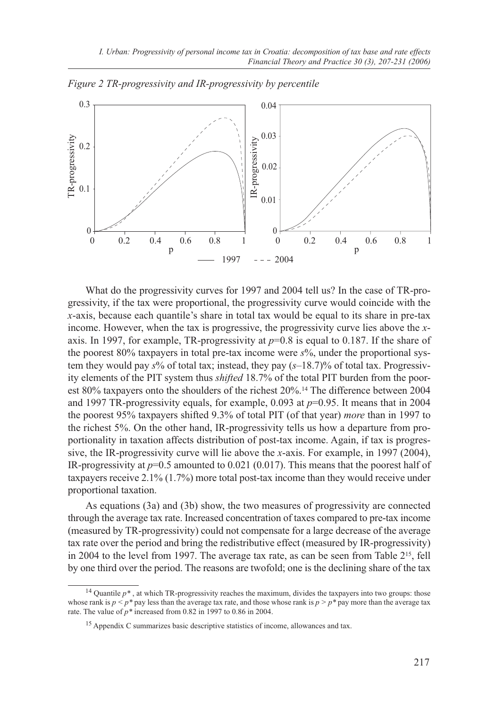

*Figure 2 TR-progressivity and IR-progressivity by percentile*

What do the progressivity curves for 1997 and 2004 tell us? In the case of TR-progressivity, if the tax were proportional, the progressivity curve would coincide with the *x*-axis, because each quantile's share in total tax would be equal to its share in pre-tax income. However, when the tax is progressive, the progressivity curve lies above the *x*axis. In 1997, for example, TR-progressivity at  $p=0.8$  is equal to 0.187. If the share of the poorest 80% taxpayers in total pre-tax income were *s*%, under the proportional system they would pay *s*% of total tax; instead, they pay (*s*–18.7)% of total tax. Progressivity elements of the PIT system thus *shifted* 18.7% of the total PIT burden from the poorest 80% taxpayers onto the shoulders of the richest 20%.14 The difference between 2004 and 1997 TR-progressivity equals, for example, 0.093 at *p*=0.95. It means that in 2004 the poorest 95% taxpayers shifted 9.3% of total PIT (of that year) *more* than in 1997 to the richest 5%. On the other hand, IR-progressivity tells us how a departure from proportionality in taxation affects distribution of post-tax income. Again, if tax is progressive, the IR-progressivity curve will lie above the *x*-axis. For example, in 1997 (2004), IR-progressivity at *p*=0.5 amounted to 0.021 (0.017). This means that the poorest half of taxpayers receive 2.1% (1.7%) more total post-tax income than they would receive under proportional taxation.

As equations (3a) and (3b) show, the two measures of progressivity are connected through the average tax rate. Increased concentration of taxes compared to pre-tax income (measured by TR-progressivity) could not compensate for a large decrease of the average tax rate over the period and bring the redistributive effect (measured by IR-progressivity) in 2004 to the level from 1997. The average tax rate, as can be seen from Table 215, fell by one third over the period. The reasons are twofold; one is the declining share of the tax

<sup>&</sup>lt;sup>14</sup> Quantile  $p^*$ , at which TR-progressivity reaches the maximum, divides the taxpayers into two groups: those whose rank is  $p < p^*$  pay less than the average tax rate, and those whose rank is  $p > p^*$  pay more than the average tax rate. The value of *p\** increased from 0.82 in 1997 to 0.86 in 2004.

<sup>15</sup> Appendix C summarizes basic descriptive statistics of income, allowances and tax.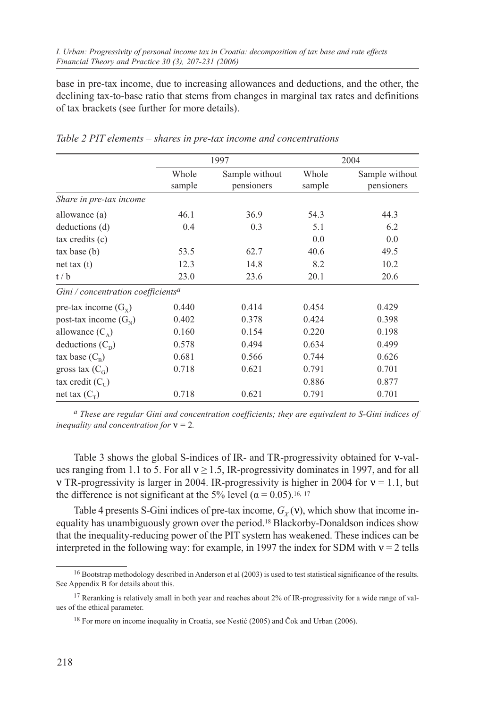base in pre-tax income, due to increasing allowances and deductions, and the other, the declining tax-to-base ratio that stems from changes in marginal tax rates and definitions of tax brackets (see further for more details).

|                                                |                 | 1997                         |                 | 2004                         |
|------------------------------------------------|-----------------|------------------------------|-----------------|------------------------------|
|                                                | Whole<br>sample | Sample without<br>pensioners | Whole<br>sample | Sample without<br>pensioners |
| Share in pre-tax income                        |                 |                              |                 |                              |
| allowance (a)                                  | 46.1            | 36.9                         | 54.3            | 44.3                         |
| deductions (d)                                 | 0.4             | 0.3                          | 5.1             | 6.2                          |
| tax credits (c)                                |                 |                              | 0.0             | 0.0                          |
| tax base(b)                                    | 53.5            | 62.7                         | 40.6            | 49.5                         |
| net tax $(t)$                                  | 12.3            | 14.8                         | 8.2             | 10.2                         |
| t/b                                            | 23.0            | 23.6                         | 20.1            | 20.6                         |
| Gini / concentration coefficients <sup>a</sup> |                 |                              |                 |                              |
| pre-tax income $(G_x)$                         | 0.440           | 0.414                        | 0.454           | 0.429                        |
| post-tax income $(G_{N})$                      | 0.402           | 0.378                        | 0.424           | 0.398                        |
| allowance $(C_{\lambda})$                      | 0.160           | 0.154                        | 0.220           | 0.198                        |
| deductions $(C_{\rm D})$                       | 0.578           | 0.494                        | 0.634           | 0.499                        |
| tax base $(C_R)$                               | 0.681           | 0.566                        | 0.744           | 0.626                        |
| gross tax $(C_G)$                              | 0.718           | 0.621                        | 0.791           | 0.701                        |
| tax credit $(C_c)$                             |                 |                              | 0.886           | 0.877                        |
| net tax $(C_{\tau})$                           | 0.718           | 0.621                        | 0.791           | 0.701                        |

*Table 2 PIT elements – shares in pre-tax income and concentrations*

*a These are regular Gini and concentration coefficients; they are equivalent to S-Gini indices of inequality and concentration for* ν *=* 2*.*

Table 3 shows the global S-indices of IR- and TR-progressivity obtained for ν-values ranging from 1.1 to 5. For all  $v \ge 1.5$ , IR-progressivity dominates in 1997, and for all v TR-progressivity is larger in 2004. IR-progressivity is higher in 2004 for  $v = 1.1$ , but the difference is not significant at the 5% level ( $\alpha$  = 0.05).<sup>16, 17</sup>

Table 4 presents S-Gini indices of pre-tax income,  $G_Y(v)$ , which show that income inequality has unambiguously grown over the period.18 Blackorby-Donaldson indices show that the inequality-reducing power of the PIT system has weakened. These indices can be interpreted in the following way: for example, in 1997 the index for SDM with  $v = 2$  tells

<sup>&</sup>lt;sup>16</sup> Bootstrap methodology described in Anderson et al (2003) is used to test statistical significance of the results. See Appendix B for details about this.

<sup>&</sup>lt;sup>17</sup> Reranking is relatively small in both year and reaches about 2% of IR-progressivity for a wide range of values of the ethical parameter.

<sup>&</sup>lt;sup>18</sup> For more on income inequality in Croatia, see Nestić (2005) and Čok and Urban (2006).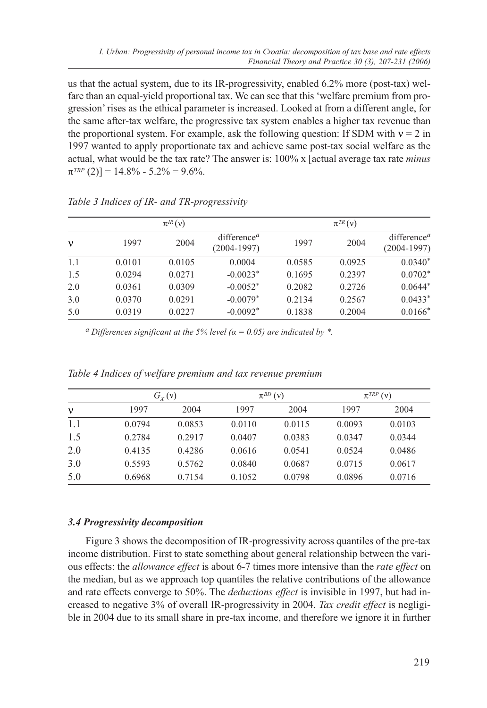us that the actual system, due to its IR-progressivity, enabled 6.2% more (post-tax) welfare than an equal-yield proportional tax. We can see that this 'welfare premium from progression' rises as the ethical parameter is increased. Looked at from a different angle, for the same after-tax welfare, the progressive tax system enables a higher tax revenue than the proportional system. For example, ask the following question: If SDM with  $v = 2$  in 1997 wanted to apply proportionate tax and achieve same post-tax social welfare as the actual, what would be the tax rate? The answer is: 100% x [actual average tax rate *minus*  $\pi^{TRP}(2)$ ] = 14.8% - 5.2% = 9.6%.

|     |        | $\pi^{IR}(v)$ |                                          |        | $\pi^{TR}(v)$ |                                                       |
|-----|--------|---------------|------------------------------------------|--------|---------------|-------------------------------------------------------|
| v   | 1997   | 2004          | difference <sup>a</sup><br>$(2004-1997)$ | 1997   | 2004          | difference <sup><math>a</math></sup><br>$(2004-1997)$ |
| 1.1 | 0.0101 | 0.0105        | 0.0004                                   | 0.0585 | 0.0925        | $0.0340*$                                             |
| 1.5 | 0.0294 | 0.0271        | $-0.0023*$                               | 0.1695 | 0.2397        | $0.0702*$                                             |
| 2.0 | 0.0361 | 0.0309        | $-0.0052*$                               | 0.2082 | 0.2726        | $0.0644*$                                             |
| 3.0 | 0.0370 | 0.0291        | $-0.0079*$                               | 0.2134 | 0.2567        | $0.0433*$                                             |
| 5.0 | 0.0319 | 0.0227        | $-0.0092*$                               | 0.1838 | 0.2004        | $0.0166*$                                             |

*Table 3 Indices of IR- and TR-progressivity*

*a* Differences significant at the 5% level ( $\alpha$  = 0.05) are indicated by  $*$ .

|     | $G_{Y}(v)$ |        | $\pi^{BD}$ (v) |        | $\pi^{TRP}(\nu)$ |        |
|-----|------------|--------|----------------|--------|------------------|--------|
| v   | 1997       | 2004   | 1997           | 2004   | 1997             | 2004   |
| 1.1 | 0.0794     | 0.0853 | 0.0110         | 0.0115 | 0.0093           | 0.0103 |
| 1.5 | 0.2784     | 0.2917 | 0.0407         | 0.0383 | 0.0347           | 0.0344 |
| 2.0 | 0.4135     | 0.4286 | 0.0616         | 0.0541 | 0.0524           | 0.0486 |
| 3.0 | 0.5593     | 0.5762 | 0.0840         | 0.0687 | 0.0715           | 0.0617 |
| 5.0 | 0.6968     | 0.7154 | 0.1052         | 0.0798 | 0.0896           | 0.0716 |

*Table 4 Indices of welfare premium and tax revenue premium*

# *3.4 Progressivity decomposition*

Figure 3 shows the decomposition of IR-progressivity across quantiles of the pre-tax income distribution. First to state something about general relationship between the various effects: the *allowance effect* is about 6-7 times more intensive than the *rate effect* on the median, but as we approach top quantiles the relative contributions of the allowance and rate effects converge to 50%. The *deductions effect* is invisible in 1997, but had increased to negative 3% of overall IR-progressivity in 2004. *Tax credit effect* is negligible in 2004 due to its small share in pre-tax income, and therefore we ignore it in further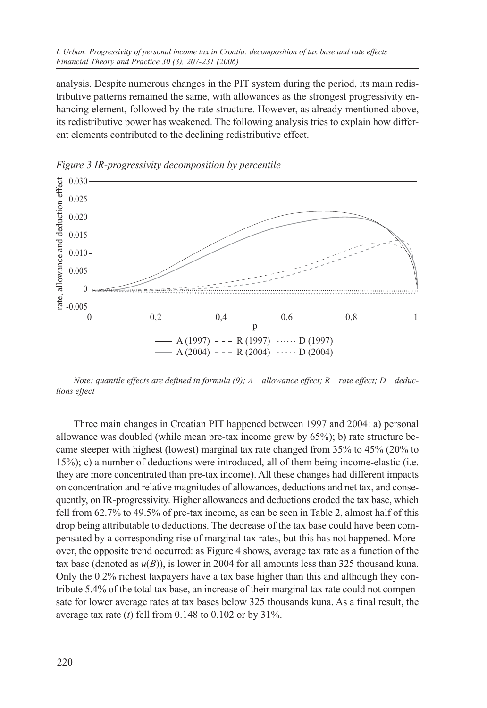analysis. Despite numerous changes in the PIT system during the period, its main redistributive patterns remained the same, with allowances as the strongest progressivity enhancing element, followed by the rate structure. However, as already mentioned above, its redistributive power has weakened. The following analysis tries to explain how different elements contributed to the declining redistributive effect.



*Figure 3 IR-progressivity decomposition by percentile*

*Note: quantile effects are defined in formula (9); A – allowance effect; R – rate effect; D – deductions effect*

Three main changes in Croatian PIT happened between 1997 and 2004: a) personal allowance was doubled (while mean pre-tax income grew by 65%); b) rate structure became steeper with highest (lowest) marginal tax rate changed from 35% to 45% (20% to 15%); c) a number of deductions were introduced, all of them being income-elastic (i.e. they are more concentrated than pre-tax income). All these changes had different impacts on concentration and relative magnitudes of allowances, deductions and net tax, and consequently, on IR-progressivity. Higher allowances and deductions eroded the tax base, which fell from 62.7% to 49.5% of pre-tax income, as can be seen in Table 2, almost half of this drop being attributable to deductions. The decrease of the tax base could have been compensated by a corresponding rise of marginal tax rates, but this has not happened. Moreover, the opposite trend occurred: as Figure 4 shows, average tax rate as a function of the tax base (denoted as  $u(B)$ ), is lower in 2004 for all amounts less than 325 thousand kuna. Only the 0.2% richest taxpayers have a tax base higher than this and although they contribute 5.4% of the total tax base, an increase of their marginal tax rate could not compensate for lower average rates at tax bases below 325 thousands kuna. As a final result, the average tax rate (*t*) fell from 0.148 to 0.102 or by 31%.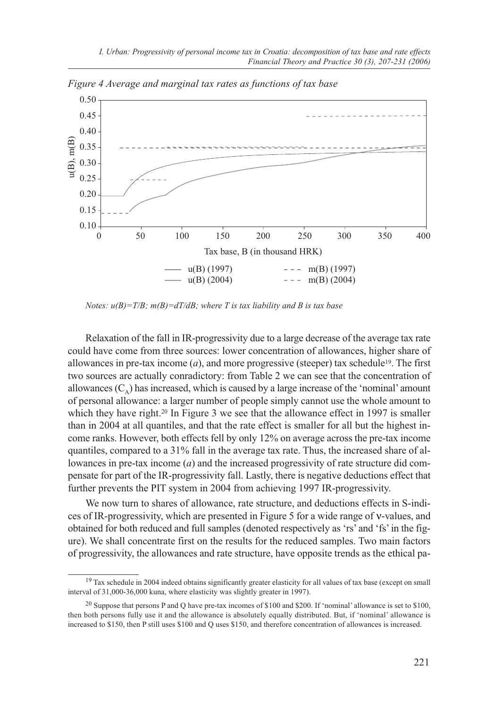

*Figure 4 Average and marginal tax rates as functions of tax base*

*Notes: u(B)=T/B; m(B)=dT/dB; where T is tax liability and B is tax base*

Relaxation of the fall in IR-progressivity due to a large decrease of the average tax rate could have come from three sources: lower concentration of allowances, higher share of allowances in pre-tax income  $(a)$ , and more progressive (steeper) tax schedule<sup>19</sup>. The first two sources are actually conradictory: from Table 2 we can see that the concentration of allowances  $(C_{\alpha})$  has increased, which is caused by a large increase of the 'nominal' amount of personal allowance: a larger number of people simply cannot use the whole amount to which they have right.<sup>20</sup> In Figure 3 we see that the allowance effect in 1997 is smaller than in 2004 at all quantiles, and that the rate effect is smaller for all but the highest income ranks. However, both effects fell by only 12% on average across the pre-tax income quantiles, compared to a 31% fall in the average tax rate. Thus, the increased share of allowances in pre-tax income (*a*) and the increased progressivity of rate structure did compensate for part of the IR-progressivity fall. Lastly, there is negative deductions effect that further prevents the PIT system in 2004 from achieving 1997 IR-progressivity.

We now turn to shares of allowance, rate structure, and deductions effects in S-indices of IR-progressivity, which are presented in Figure 5 for a wide range of ν-values, and obtained for both reduced and full samples (denoted respectively as 'rs' and 'fs' in the figure). We shall concentrate first on the results for the reduced samples. Two main factors of progressivity, the allowances and rate structure, have opposite trends as the ethical pa-

<sup>&</sup>lt;sup>19</sup> Tax schedule in 2004 indeed obtains significantly greater elasticity for all values of tax base (except on small interval of 31,000-36,000 kuna, where elasticity was slightly greater in 1997).

<sup>20</sup> Suppose that persons P and Q have pre-tax incomes of \$100 and \$200. If 'nominal' allowance is set to \$100, then both persons fully use it and the allowance is absolutely equally distributed. But, if 'nominal' allowance is increased to \$150, then P still uses \$100 and Q uses \$150, and therefore concentration of allowances is increased.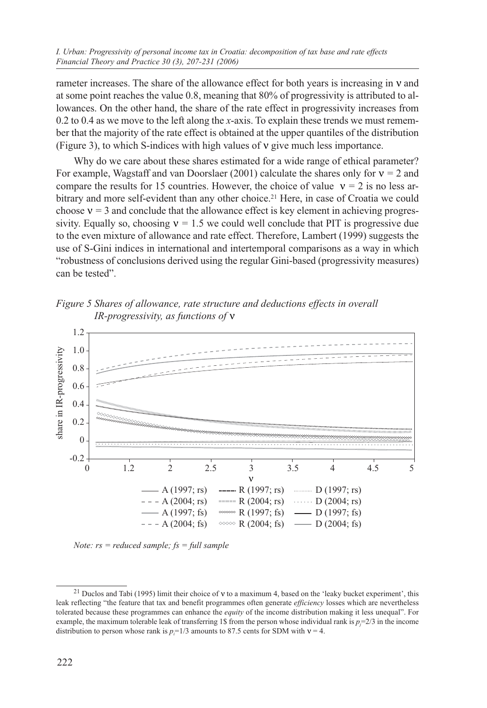*I. Urban: Progressivity of personal income tax in Croatia: decomposition of tax base and rate effects Financial Theory and Practice 30 (3), 207-231 (2006)*

rameter increases. The share of the allowance effect for both years is increasing in ν and at some point reaches the value 0.8, meaning that 80% of progressivity is attributed to allowances. On the other hand, the share of the rate effect in progressivity increases from 0.2 to 0.4 as we move to the left along the *x*-axis. To explain these trends we must remember that the majority of the rate effect is obtained at the upper quantiles of the distribution (Figure 3), to which S-indices with high values of ν give much less importance.

Why do we care about these shares estimated for a wide range of ethical parameter? For example, Wagstaff and van Doorslaer (2001) calculate the shares only for ν *=* 2 and compare the results for 15 countries. However, the choice of value  $v = 2$  is no less arbitrary and more self-evident than any other choice.21 Here, in case of Croatia we could choose  $v = 3$  and conclude that the allowance effect is key element in achieving progressivity. Equally so, choosing  $v = 1.5$  we could well conclude that PIT is progressive due to the even mixture of allowance and rate effect. Therefore, Lambert (1999) suggests the use of S-Gini indices in international and intertemporal comparisons as a way in which "robustness of conclusions derived using the regular Gini-based (progressivity measures) can be tested".

*Figure 5 Shares of allowance, rate structure and deductions effects in overall IR-progressivity, as functions of* ν



*Note: rs = reduced sample; fs = full sample*

<sup>21</sup> Duclos and Tabi (1995) limit their choice of ν to a maximum 4, based on the 'leaky bucket experiment', this leak reflecting "the feature that tax and benefit programmes often generate *efficiency* losses which are nevertheless tolerated because these programmes can enhance the *equity* of the income distribution making it less unequal". For example, the maximum tolerable leak of transferring 1\$ from the person whose individual rank is  $p_j = 2/3$  in the income distribution to person whose rank is  $p_i=1/3$  amounts to 87.5 cents for SDM with  $v = 4$ .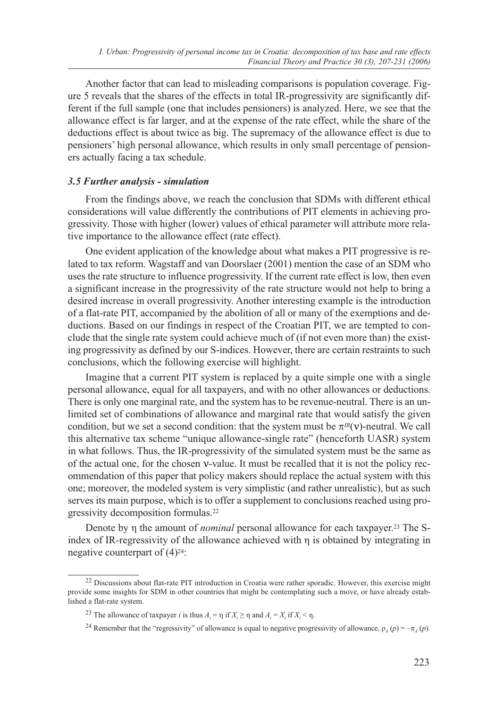Another factor that can lead to misleading comparisons is population coverage. Figure 5 reveals that the shares of the effects in total IR-progressivity are significantly different if the full sample (one that includes pensioners) is analyzed. Here, we see that the allowance effect is far larger, and at the expense of the rate effect, while the share of the deductions effect is about twice as big. The supremacy of the allowance effect is due to pensioners' high personal allowance, which results in only small percentage of pensioners actually facing a tax schedule.

# *3.5 Further analysis - simulation*

From the findings above, we reach the conclusion that SDMs with different ethical considerations will value differently the contributions of PIT elements in achieving progressivity. Those with higher (lower) values of ethical parameter will attribute more relative importance to the allowance effect (rate effect).

One evident application of the knowledge about what makes a PIT progressive is related to tax reform. Wagstaff and van Doorslaer (2001) mention the case of an SDM who uses the rate structure to influence progressivity. If the current rate effect is low, then even a significant increase in the progressivity of the rate structure would not help to bring a desired increase in overall progressivity. Another interesting example is the introduction of a flat-rate PIT, accompanied by the abolition of all or many of the exemptions and deductions. Based on our findings in respect of the Croatian PIT, we are tempted to conclude that the single rate system could achieve much of (if not even more than) the existing progressivity as defined by our S-indices. However, there are certain restraints to such conclusions, which the following exercise will highlight.

Imagine that a current PIT system is replaced by a quite simple one with a single personal allowance, equal for all taxpayers, and with no other allowances or deductions. There is only one marginal rate, and the system has to be revenue-neutral. There is an unlimited set of combinations of allowance and marginal rate that would satisfy the given condition, but we set a second condition: that the system must be  $\pi^{IR}(v)$ -neutral. We call this alternative tax scheme "unique allowance-single rate" (henceforth UASR) system in what follows. Thus, the IR-progressivity of the simulated system must be the same as of the actual one, for the chosen ν-value. It must be recalled that it is not the policy recommendation of this paper that policy makers should replace the actual system with this one; moreover, the modeled system is very simplistic (and rather unrealistic), but as such serves its main purpose, which is to offer a supplement to conclusions reached using progressivity decomposition formulas.22

Denote by η the amount of *nominal* personal allowance for each taxpayer.23 The Sindex of IR-regressivity of the allowance achieved with η is obtained by integrating in negative counterpart of  $(4)^{24}$ :

<sup>&</sup>lt;sup>22</sup> Discussions about flat-rate PIT introduction in Croatia were rather sporadic. However, this exercise might provide some insights for SDM in other countries that might be contemplating such a move, or have already established a flat-rate system.

<sup>&</sup>lt;sup>23</sup> The allowance of taxpayer *i* is thus  $A_i = \eta$  if  $X_i \ge \eta$  and  $A_i = X_i$  if  $X_i < \eta$ .

<sup>&</sup>lt;sup>24</sup> Remember that the "regressivity" of allowance is equal to negative progressivity of allowance,  $\rho_A(p) = -\pi_A(p)$ .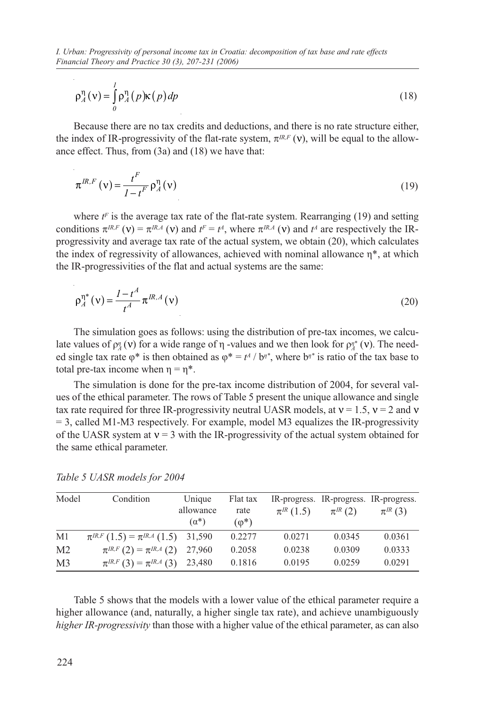*I. Urban: Progressivity of personal income tax in Croatia: decomposition of tax base and rate effects Financial Theory and Practice 30 (3), 207-231 (2006)*

$$
\rho_A^{\eta}(v) = \int_0^l \rho_A^{\eta}(p) \kappa(p) dp
$$
\n(18)

Because there are no tax credits and deductions, and there is no rate structure either, the index of IR-progressivity of the flat-rate system,  $\pi^{IR,F}(\nu)$ , will be equal to the allowance effect. Thus, from (3a) and (18) we have that:

$$
\pi^{IR,F}(\mathbf{v}) = \frac{t^F}{1 - t^F} \rho_A^{\eta}(\mathbf{v})
$$
\n(19)

where  $t<sup>F</sup>$  is the average tax rate of the flat-rate system. Rearranging (19) and setting conditions  $\pi^{IR,F}$  (v) =  $\pi^{IR,A}$  (v) and  $t^F = t^A$ , where  $\pi^{IR,A}$  (v) and  $t^A$  are respectively the IRprogressivity and average tax rate of the actual system, we obtain (20), which calculates the index of regressivity of allowances, achieved with nominal allowance η\*, at which the IR-progressivities of the flat and actual systems are the same:

$$
\rho_A^{\eta^*}(v) = \frac{1 - t^A}{t^A} \pi^{IR,A}(v)
$$
\n(20)

The simulation goes as follows: using the distribution of pre-tax incomes, we calculate values of  $ρ_4$  (ν) for a wide range of η -values and we then look for  $ρ_4^*$  (ν). The needed single tax rate  $\varphi^*$  is then obtained as  $\varphi^* = t^4 / b^*$ , where  $b^*$  is ratio of the tax base to total pre-tax income when  $\eta = \eta^*$ .

The simulation is done for the pre-tax income distribution of 2004, for several values of the ethical parameter. The rows of Table 5 present the unique allowance and single tax rate required for three IR-progressivity neutral UASR models, at  $v = 1.5$ ,  $v = 2$  and v = 3, called M1-M3 respectively. For example, model M3 equalizes the IR-progressivity of the UASR system at  $v = 3$  with the IR-progressivity of the actual system obtained for the same ethical parameter.

| Model          | Condition                                  | Unique       | Flat tax      |                 |               | IR-progress. IR-progress. IR-progress. |
|----------------|--------------------------------------------|--------------|---------------|-----------------|---------------|----------------------------------------|
|                |                                            | allowance    | rate          | $\pi^{IR}(1.5)$ | $\pi^{IR}(2)$ | $\pi^{IR}(3)$                          |
|                |                                            | $(\alpha^*)$ | $(\varphi^*)$ |                 |               |                                        |
| M1             | $\pi^{IR,F}(1.5) = \pi^{IR,A}(1.5)$ 31,590 |              | 0.2277        | 0.0271          | 0.0345        | 0.0361                                 |
| M <sub>2</sub> | $\pi^{IR,F}(2) = \pi^{IR,A}(2)$            | 27,960       | 0.2058        | 0.0238          | 0.0309        | 0.0333                                 |
| M <sub>3</sub> | $\pi^{IR,F}(3) = \pi^{IR,A}(3)$            | 23,480       | 0.1816        | 0.0195          | 0.0259        | 0.0291                                 |

*Table 5 UASR models for 2004*

Table 5 shows that the models with a lower value of the ethical parameter require a higher allowance (and, naturally, a higher single tax rate), and achieve unambiguously *higher IR-progressivity* than those with a higher value of the ethical parameter, as can also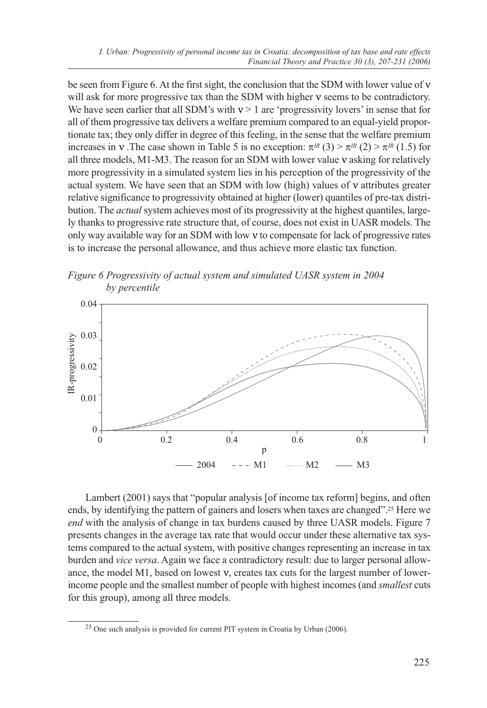be seen from Figure 6. At the first sight, the conclusion that the SDM with lower value of ν will ask for more progressive tax than the SDM with higher ν seems to be contradictory. We have seen earlier that all SDM's with  $v > 1$  are 'progressivity lovers' in sense that for all of them progressive tax delivers a welfare premium compared to an equal-yield proportionate tax; they only differ in degree of this feeling, in the sense that the welfare premium increases in v. The case shown in Table 5 is no exception:  $\pi^{IR}(3) > \pi^{IR}(2) > \pi^{IR}(1.5)$  for all three models, M1-M3. The reason for an SDM with lower value  $v$  asking for relatively more progressivity in a simulated system lies in his perception of the progressivity of the actual system. We have seen that an SDM with low (high) values of ν attributes greater relative significance to progressivity obtained at higher (lower) quantiles of pre-tax distribution. The *actual* system achieves most of its progressivity at the highest quantiles, largely thanks to progressive rate structure that, of course, does not exist in UASR models. The only way available way for an SDM with low ν to compensate for lack of progressive rates is to increase the personal allowance, and thus achieve more elastic tax function.





Lambert (2001) says that "popular analysis [of income tax reform] begins, and often ends, by identifying the pattern of gainers and losers when taxes are changed".25 Here we *end* with the analysis of change in tax burdens caused by three UASR models. Figure 7 presents changes in the average tax rate that would occur under these alternative tax systems compared to the actual system, with positive changes representing an increase in tax burden and *vice versa*. Again we face a contradictory result: due to larger personal allowance, the model M1, based on lowest ν, creates tax cuts for the largest number of lowerincome people and the smallest number of people with highest incomes (and *smallest* cuts for this group), among all three models.

<sup>25</sup> One such analysis is provided for current PIT system in Croatia by Urban (2006).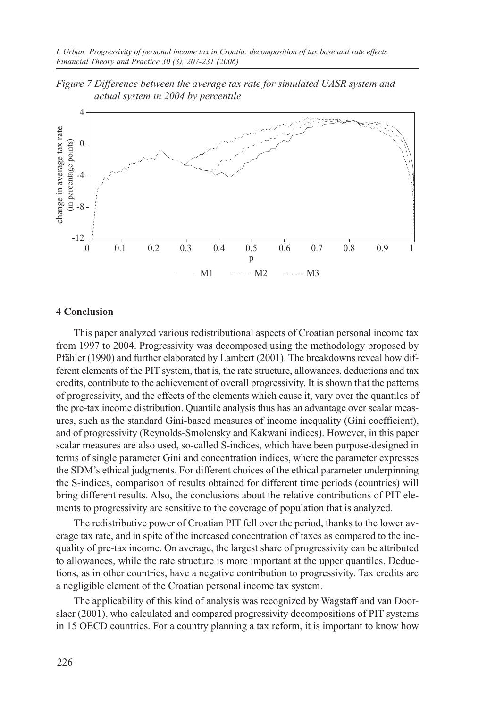



### **4 Conclusion**

This paper analyzed various redistributional aspects of Croatian personal income tax from 1997 to 2004. Progressivity was decomposed using the methodology proposed by Pfähler (1990) and further elaborated by Lambert (2001). The breakdowns reveal how different elements of the PIT system, that is, the rate structure, allowances, deductions and tax credits, contribute to the achievement of overall progressivity. It is shown that the patterns of progressivity, and the effects of the elements which cause it, vary over the quantiles of the pre-tax income distribution. Quantile analysis thus has an advantage over scalar measures, such as the standard Gini-based measures of income inequality (Gini coefficient), and of progressivity (Reynolds-Smolensky and Kakwani indices). However, in this paper scalar measures are also used, so-called S-indices, which have been purpose-designed in terms of single parameter Gini and concentration indices, where the parameter expresses the SDM's ethical judgments. For different choices of the ethical parameter underpinning the S-indices, comparison of results obtained for different time periods (countries) will bring different results. Also, the conclusions about the relative contributions of PIT elements to progressivity are sensitive to the coverage of population that is analyzed.

The redistributive power of Croatian PIT fell over the period, thanks to the lower average tax rate, and in spite of the increased concentration of taxes as compared to the inequality of pre-tax income. On average, the largest share of progressivity can be attributed to allowances, while the rate structure is more important at the upper quantiles. Deductions, as in other countries, have a negative contribution to progressivity. Tax credits are a negligible element of the Croatian personal income tax system.

The applicability of this kind of analysis was recognized by Wagstaff and van Doorslaer (2001), who calculated and compared progressivity decompositions of PIT systems in 15 OECD countries. For a country planning a tax reform, it is important to know how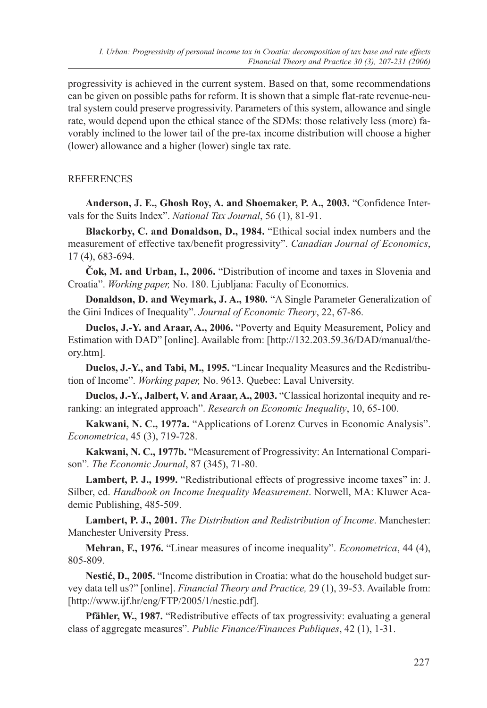progressivity is achieved in the current system. Based on that, some recommendations can be given on possible paths for reform. It is shown that a simple flat-rate revenue-neutral system could preserve progressivity. Parameters of this system, allowance and single rate, would depend upon the ethical stance of the SDMs: those relatively less (more) favorably inclined to the lower tail of the pre-tax income distribution will choose a higher (lower) allowance and a higher (lower) single tax rate.

# **REFERENCES**

**Anderson, J. E., Ghosh Roy, A. and Shoemaker, P. A., 2003.** "Confidence Intervals for the Suits Index". *National Tax Journal*, 56 (1), 81-91.

**Blackorby, C. and Donaldson, D., 1984.** "Ethical social index numbers and the measurement of effective tax/benefit progressivity". *Canadian Journal of Economics*, 17 (4), 683-694.

**Čok, M. and Urban, I., 2006.** "Distribution of income and taxes in Slovenia and Croatia". *Working paper,* No. 180. Ljubljana: Faculty of Economics.

**Donaldson, D. and Weymark, J. A., 1980.** "A Single Parameter Generalization of the Gini Indices of Inequality". *Journal of Economic Theory*, 22, 67-86.

**Duclos, J.-Y. and Araar, A., 2006.** "Poverty and Equity Measurement, Policy and Estimation with DAD" [online]. Available from: [http://132.203.59.36/DAD/manual/theory.htm].

**Duclos, J.-Y., and Tabi, M., 1995.** "Linear Inequality Measures and the Redistribution of Income". *Working paper,* No. 9613. Quebec: Laval University.

**Duclos, J.-Y., Jalbert, V. and Araar, A., 2003.** "Classical horizontal inequity and reranking: an integrated approach". *Research on Economic Inequality*, 10, 65-100.

**Kakwani, N. C., 1977a.** "Applications of Lorenz Curves in Economic Analysis". *Econometrica*, 45 (3), 719-728.

**Kakwani, N. C., 1977b.** "Measurement of Progressivity: An International Comparison". *The Economic Journal*, 87 (345), 71-80.

Lambert, P. J., 1999. "Redistributional effects of progressive income taxes" in: J. Silber, ed. *Handbook on Income Inequality Measurement*. Norwell, MA: Kluwer Academic Publishing, 485-509.

**Lambert, P. J., 2001.** *The Distribution and Redistribution of Income*. Manchester: Manchester University Press.

**Mehran, F., 1976.** "Linear measures of income inequality". *Econometrica*, 44 (4), 805-809.

**Nestić, D., 2005.** "Income distribution in Croatia: what do the household budget survey data tell us?" [online]. *Financial Theory and Practice,* 29 (1), 39-53. Available from: [http://www.ijf.hr/eng/FTP/2005/1/nestic.pdf].

Pfähler, W., 1987. "Redistributive effects of tax progressivity: evaluating a general class of aggregate measures". *Public Finance/Finances Publiques*, 42 (1), 1-31.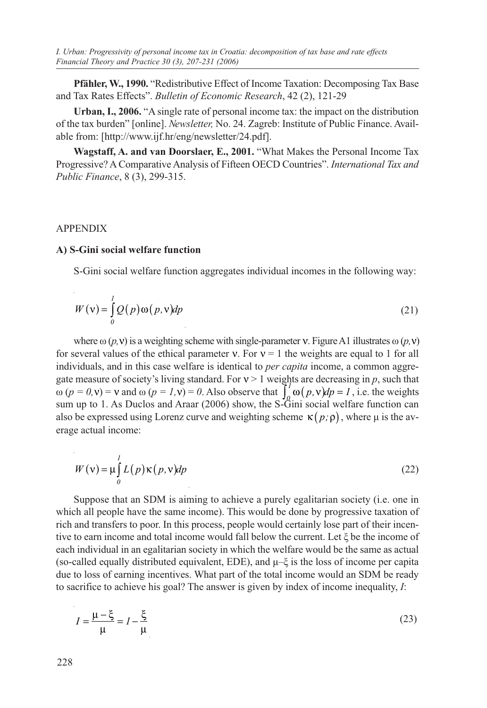**Pfähler, W., 1990.** "Redistributive Effect of Income Taxation: Decomposing Tax Base and Tax Rates Effects". *Bulletin of Economic Research*, 42 (2), 121-29

**Urban, I., 2006.** "A single rate of personal income tax: the impact on the distribution of the tax burden" [online]. *Newsletter,* No. 24. Zagreb: Institute of Public Finance. Available from: [http://www.ijf.hr/eng/newsletter/24.pdf].

**Wagstaff, A. and van Doorslaer, E., 2001.** "What Makes the Personal Income Tax Progressive? A Comparative Analysis of Fifteen OECD Countries". *International Tax and Public Finance*, 8 (3), 299-315.

# APPENDIX

# **A) S-Gini social welfare function**

S-Gini social welfare function aggregates individual incomes in the following way:

$$
W(v) = \int_{0}^{1} Q(p) \omega(p, v) dp
$$
\n(21)

where  $\omega$  (*p*, **v**) is a weighting scheme with single-parameter **v**. Figure A1 illustrates  $\omega$  (*p*, **v**) for several values of the ethical parameter  $v$ . For  $v = 1$  the weights are equal to 1 for all individuals, and in this case welfare is identical to *per capita* income, a common aggregate measure of society's living standard. For  $v > 1$  weights are decreasing in p, such that  $ω (p = 0, v) = v$  and  $ω (p = 1, v) = 0$ . Also observe that  $\int_a^1 ω (p, v) dp = 1$ , i.e. the weights sum up to 1. As Duclos and Araar (2006) show, the S-Gini social welfare function can also be expressed using Lorenz curve and weighting scheme  $\kappa(p;\rho)$ , where  $\mu$  is the average actual income:

$$
W(\mathbf{v}) = \mu \int_{0}^{1} L(p) \kappa(p, \mathbf{v}) dp
$$
 (22)

Suppose that an SDM is aiming to achieve a purely egalitarian society (i.e. one in which all people have the same income). This would be done by progressive taxation of rich and transfers to poor. In this process, people would certainly lose part of their incentive to earn income and total income would fall below the current. Let ξ be the income of each individual in an egalitarian society in which the welfare would be the same as actual (so-called equally distributed equivalent, EDE), and  $\mu$ – $\xi$  is the loss of income per capita due to loss of earning incentives. What part of the total income would an SDM be ready to sacrifice to achieve his goal? The answer is given by index of income inequality, *I*:

$$
I = \frac{\mu - \xi}{\mu} = I - \frac{\xi}{\mu}
$$
 (23)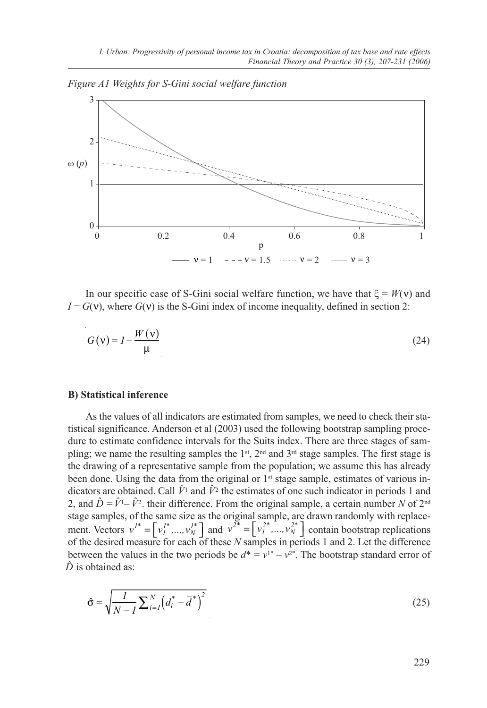*Figure A1 Weights for S-Gini social welfare function*



In our specific case of S-Gini social welfare function, we have that  $\xi = W(v)$  and  $I = G(v)$ , where  $G(v)$  is the S-Gini index of income inequality, defined in section 2:

$$
G(v) = I - \frac{W(v)}{\mu}
$$
 (24)

#### **B) Statistical inference**

As the values of all indicators are estimated from samples, we need to check their statistical significance. Anderson et al (2003) used the following bootstrap sampling procedure to estimate confidence intervals for the Suits index. There are three stages of sampling; we name the resulting samples the 1<sup>st</sup>, 2<sup>nd</sup> and 3<sup>rd</sup> stage samples. The first stage is the drawing of a representative sample from the population; we assume this has already been done. Using the data from the original or  $1<sup>st</sup>$  stage sample, estimates of various indicators are obtained. Call  $\hat{V}^1$  and  $\hat{V}^2$  the estimates of one such indicator in periods 1 and 2, and  $\hat{D} = \hat{V}^1 - \hat{V}^2$ , their difference. From the original sample, a certain number *N* of  $2^{nd}$ stage samples, of the same size as the original sample, are drawn randomly with replacement. Vectors  $v^{1*} = \left[v_1^{1*},...,v_N^{1*}\right]$  and  $v^{2*} = \left[v_1^{2*},...,v_N^{2*}\right]$  contain bootstrap replications of the desired measure for each of these *N* samples in periods 1 and 2. Let the difference between the values in the two periods be  $d^* = v^{1*} - v^{2*}$ . The bootstrap standard error of  $\hat{D}$  is obtained as:

$$
\hat{\sigma} = \sqrt{\frac{I}{N - I} \sum_{i=1}^{N} \left( d_i^* - \overline{d}^* \right)^2}
$$
\n(25)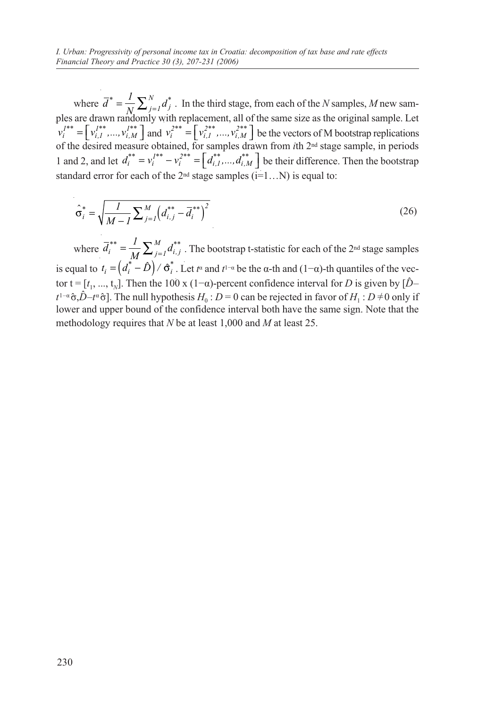where  $\overline{d}^* = \frac{1}{N} \sum_{j=1}^N d_j^*$ *j*=*1*  $\sum_{j=1}^{N} d_j^*$ . In the third stage, from each of the *N* samples, *M* new samples are drawn randomly with replacement, all of the same size as the original sample. Let  $v_i^{I^{**}} = \left[v_{i,1}^{I^{**}},...,v_{i,M}^{I^{**}}\right]$  and  $v_i^{2^{**}} = \left[v_{i,1}^{2^{**}},...,v_{i,M}^{2^{**}}\right]$  be the vectors of M bootstrap replications of the desired measure obtained, for samples drawn from *i*th 2nd stage sample, in periods 1 and 2, and let  $d_i^{**} = v_i^{i^{**}} - v_i^{i^{**}} = \left[ d_{i,1}^{**},..., d_{i,M}^{**} \right]$  be their difference. Then the bootstrap standard error for each of the  $2<sup>nd</sup>$  stage samples (i=1...N) is equal to:

$$
\hat{\sigma}_i^* = \sqrt{\frac{1}{M - 1} \sum_{j=1}^M \left( d_{i,j}^{**} - \overline{d}_i^{**} \right)^2}
$$
\n(26)

where  $\overline{d}_i^{**} = \frac{1}{M} \sum_{j=1}^M d_{i,j}^{**}$ *j*=*1*  $\sum_{j=1}^{M} d_{i,j}^{**}$ . The bootstrap t-statistic for each of the 2<sup>nd</sup> stage samples is equal to  $t_i = (d_i^* - \hat{D}) / \hat{\sigma}_i^*$ . Let  $t^{\alpha}$  and  $t^{1-\alpha}$  be the  $\alpha$ -th and  $(1-\alpha)$ -th quantiles of the vector t =  $[t_1, ..., t_N]$ . Then the 100 x (1- $\alpha$ )-percent confidence interval for *D* is given by  $[\hat{D}$  $t^{1-\alpha}$   $\hat{\sigma}$ ,  $\hat{D}-t^{\alpha}$   $\hat{\sigma}$ ]. The null hypothesis  $H_0$ :  $D=0$  can be rejected in favor of  $H_1$ :  $D \neq 0$  only if lower and upper bound of the confidence interval both have the same sign. Note that the methodology requires that *N* be at least 1,000 and *M* at least 25.